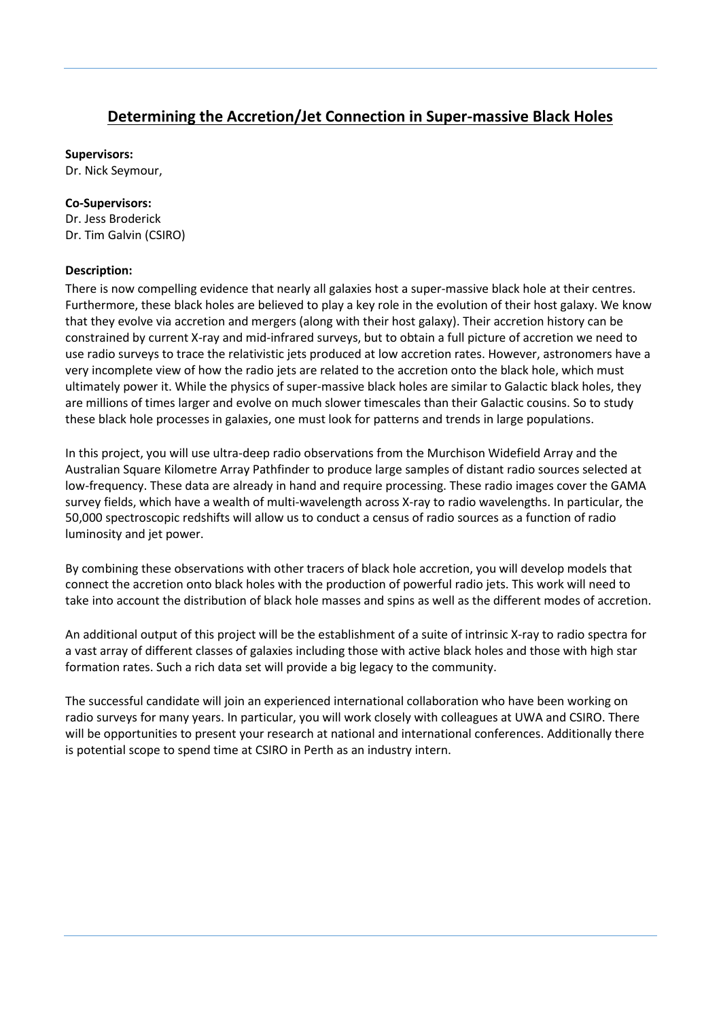## **Determining the Accretion/Jet Connection in Super-massive Black Holes**

**Supervisors:**

Dr. Nick Seymour,

## **Co-Supervisors:**

Dr. Jess Broderick Dr. Tim Galvin (CSIRO)

## **Description:**

There is now compelling evidence that nearly all galaxies host a super-massive black hole at their centres. Furthermore, these black holes are believed to play a key role in the evolution of their host galaxy. We know that they evolve via accretion and mergers (along with their host galaxy). Their accretion history can be constrained by current X-ray and mid-infrared surveys, but to obtain a full picture of accretion we need to use radio surveys to trace the relativistic jets produced at low accretion rates. However, astronomers have a very incomplete view of how the radio jets are related to the accretion onto the black hole, which must ultimately power it. While the physics of super-massive black holes are similar to Galactic black holes, they are millions of times larger and evolve on much slower timescales than their Galactic cousins. So to study these black hole processes in galaxies, one must look for patterns and trends in large populations.

In this project, you will use ultra-deep radio observations from the Murchison Widefield Array and the Australian Square Kilometre Array Pathfinder to produce large samples of distant radio sources selected at low-frequency. These data are already in hand and require processing. These radio images cover the GAMA survey fields, which have a wealth of multi-wavelength across X-ray to radio wavelengths. In particular, the 50,000 spectroscopic redshifts will allow us to conduct a census of radio sources as a function of radio luminosity and jet power.

By combining these observations with other tracers of black hole accretion, you will develop models that connect the accretion onto black holes with the production of powerful radio jets. This work will need to take into account the distribution of black hole masses and spins as well as the different modes of accretion.

An additional output of this project will be the establishment of a suite of intrinsic X-ray to radio spectra for a vast array of different classes of galaxies including those with active black holes and those with high star formation rates. Such a rich data set will provide a big legacy to the community.

The successful candidate will join an experienced international collaboration who have been working on radio surveys for many years. In particular, you will work closely with colleagues at UWA and CSIRO. There will be opportunities to present your research at national and international conferences. Additionally there is potential scope to spend time at CSIRO in Perth as an industry intern.